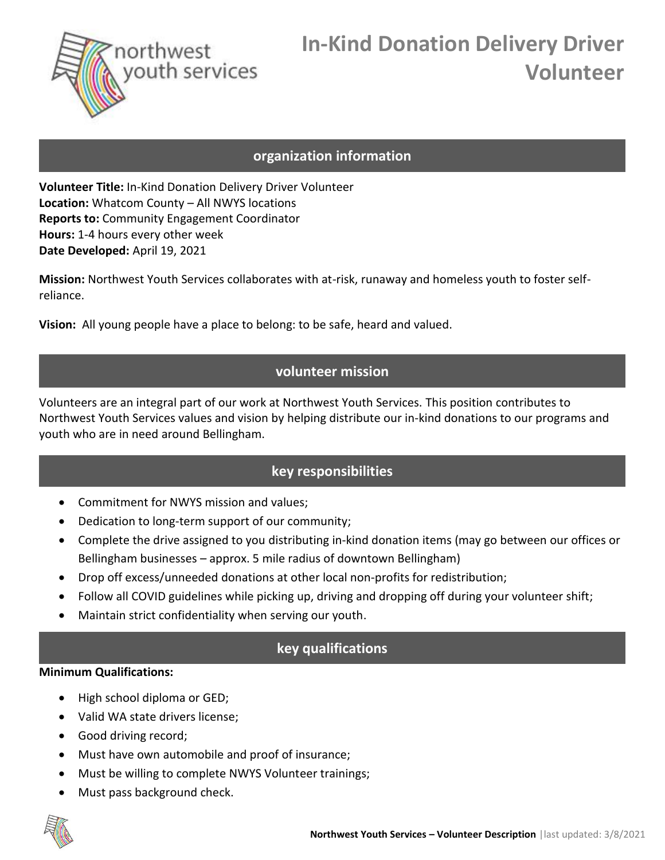

# **In-Kind Donation Delivery Driver Volunteer**

#### **organization information**

**Volunteer Title:** In-Kind Donation Delivery Driver Volunteer **Location:** Whatcom County – All NWYS locations **Reports to:** Community Engagement Coordinator **Hours:** 1-4 hours every other week **Date Developed:** April 19, 2021

**Mission:** Northwest Youth Services collaborates with at-risk, runaway and homeless youth to foster selfreliance.

**Vision:** All young people have a place to belong: to be safe, heard and valued.

# **volunteer mission**

Volunteers are an integral part of our work at Northwest Youth Services. This position contributes to Northwest Youth Services values and vision by helping distribute our in-kind donations to our programs and youth who are in need around Bellingham.

# **key responsibilities**

- Commitment for NWYS mission and values;
- Dedication to long-term support of our community;
- Complete the drive assigned to you distributing in-kind donation items (may go between our offices or Bellingham businesses – approx. 5 mile radius of downtown Bellingham)
- Drop off excess/unneeded donations at other local non-profits for redistribution;
- Follow all COVID guidelines while picking up, driving and dropping off during your volunteer shift;
- Maintain strict confidentiality when serving our youth.

### **key qualifications**

#### **Minimum Qualifications:**

- High school diploma or GED;
- Valid WA state drivers license;
- Good driving record;
- Must have own automobile and proof of insurance;
- Must be willing to complete NWYS Volunteer trainings;
- Must pass background check.